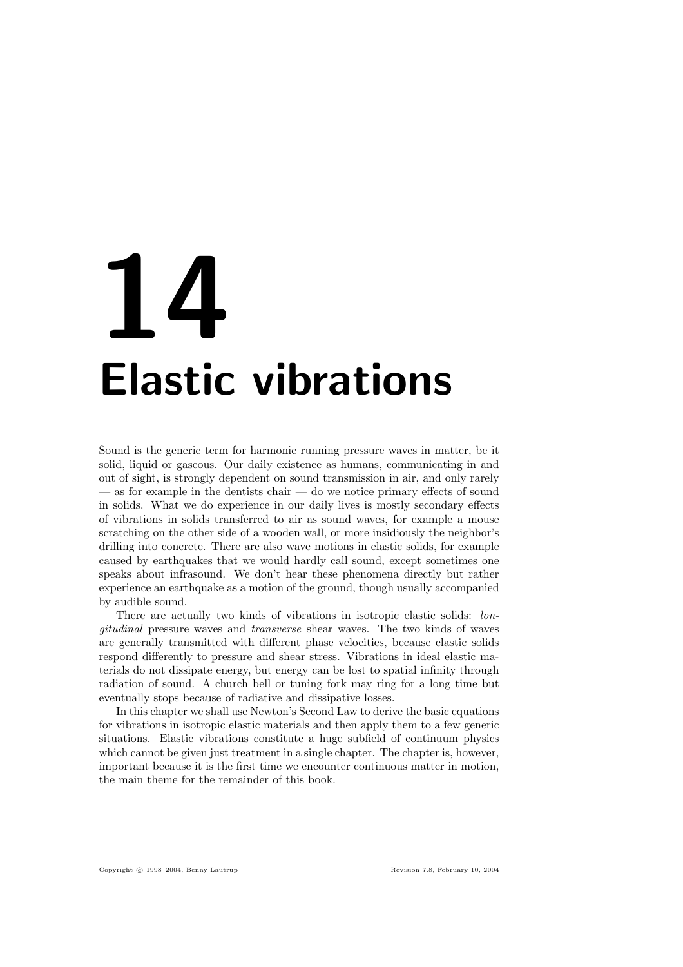# 14 Elastic vibrations

Sound is the generic term for harmonic running pressure waves in matter, be it solid, liquid or gaseous. Our daily existence as humans, communicating in and out of sight, is strongly dependent on sound transmission in air, and only rarely — as for example in the dentists chair — do we notice primary effects of sound in solids. What we do experience in our daily lives is mostly secondary effects of vibrations in solids transferred to air as sound waves, for example a mouse scratching on the other side of a wooden wall, or more insidiously the neighbor's drilling into concrete. There are also wave motions in elastic solids, for example caused by earthquakes that we would hardly call sound, except sometimes one speaks about infrasound. We don't hear these phenomena directly but rather experience an earthquake as a motion of the ground, though usually accompanied by audible sound.

There are actually two kinds of vibrations in isotropic elastic solids: *lon*gitudinal pressure waves and transverse shear waves. The two kinds of waves are generally transmitted with different phase velocities, because elastic solids respond differently to pressure and shear stress. Vibrations in ideal elastic materials do not dissipate energy, but energy can be lost to spatial infinity through radiation of sound. A church bell or tuning fork may ring for a long time but eventually stops because of radiative and dissipative losses.

In this chapter we shall use Newton's Second Law to derive the basic equations for vibrations in isotropic elastic materials and then apply them to a few generic situations. Elastic vibrations constitute a huge subfield of continuum physics which cannot be given just treatment in a single chapter. The chapter is, however, important because it is the first time we encounter continuous matter in motion, the main theme for the remainder of this book.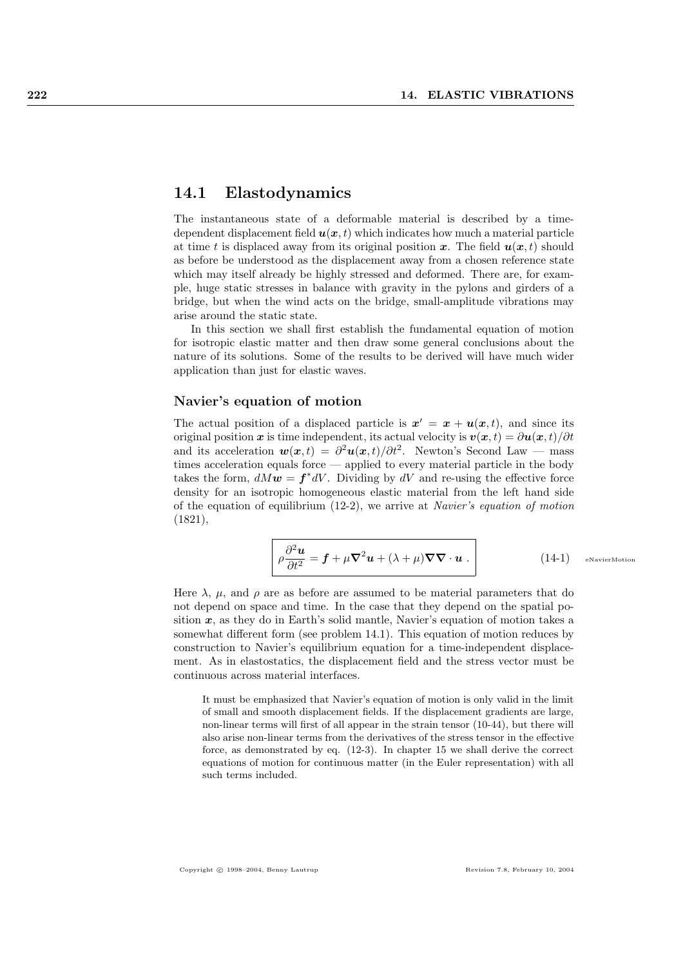# 14.1 Elastodynamics

The instantaneous state of a deformable material is described by a timedependent displacement field  $u(x, t)$  which indicates how much a material particle at time t is displaced away from its original position x. The field  $u(x, t)$  should as before be understood as the displacement away from a chosen reference state which may itself already be highly stressed and deformed. There are, for example, huge static stresses in balance with gravity in the pylons and girders of a bridge, but when the wind acts on the bridge, small-amplitude vibrations may arise around the static state.

In this section we shall first establish the fundamental equation of motion for isotropic elastic matter and then draw some general conclusions about the nature of its solutions. Some of the results to be derived will have much wider application than just for elastic waves.

#### Navier's equation of motion

The actual position of a displaced particle is  $x' = x + u(x, t)$ , and since its original position x is time independent, its actual velocity is  $v(x, t) = \partial u(x, t)/\partial t$ and its acceleration  $w(x,t) = \frac{\partial^2 u(x,t)}{\partial t^2}$ . Newton's Second Law — mass times acceleration equals force — applied to every material particle in the body takes the form,  $dMw = f^*dV$ . Dividing by  $dV$  and re-using the effective force density for an isotropic homogeneous elastic material from the left hand side of the equation of equilibrium  $(12-2)$ , we arrive at *Navier's equation of motion* (1821),

$$
\rho \frac{\partial^2 \boldsymbol{u}}{\partial t^2} = \boldsymbol{f} + \mu \boldsymbol{\nabla}^2 \boldsymbol{u} + (\lambda + \mu) \boldsymbol{\nabla} \boldsymbol{\nabla} \cdot \boldsymbol{u} . \qquad (14-1) \qquad \text{exduction}
$$

Here  $\lambda$ ,  $\mu$ , and  $\rho$  are as before are assumed to be material parameters that do not depend on space and time. In the case that they depend on the spatial position  $x$ , as they do in Earth's solid mantle, Navier's equation of motion takes a somewhat different form (see problem 14.1). This equation of motion reduces by construction to Navier's equilibrium equation for a time-independent displacement. As in elastostatics, the displacement field and the stress vector must be continuous across material interfaces.

It must be emphasized that Navier's equation of motion is only valid in the limit of small and smooth displacement fields. If the displacement gradients are large, non-linear terms will first of all appear in the strain tensor (10-44), but there will also arise non-linear terms from the derivatives of the stress tensor in the effective force, as demonstrated by eq. (12-3). In chapter 15 we shall derive the correct equations of motion for continuous matter (in the Euler representation) with all such terms included.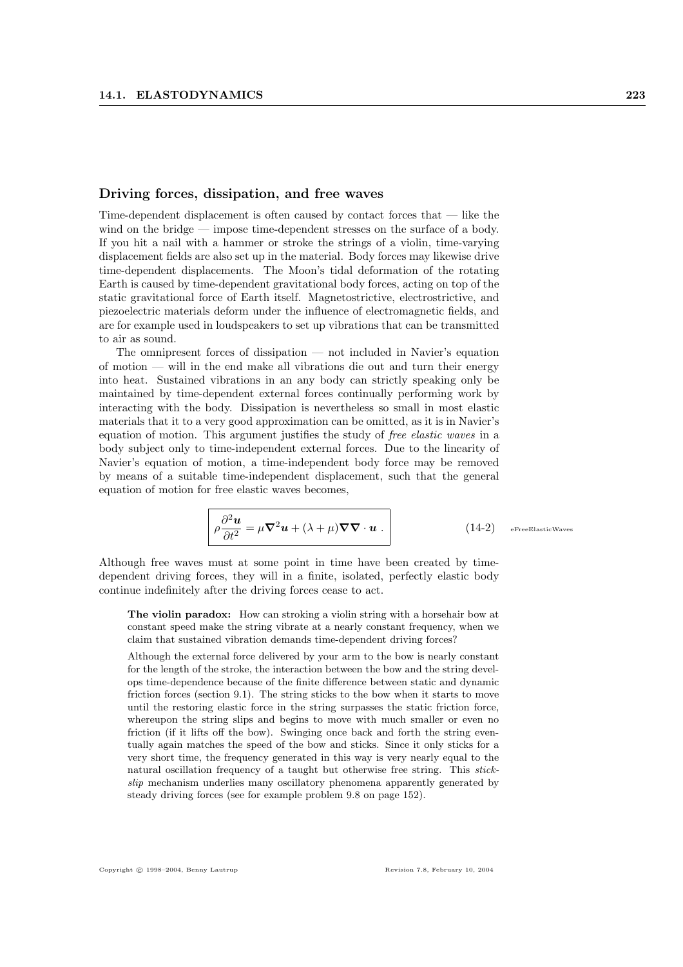## Driving forces, dissipation, and free waves

Time-dependent displacement is often caused by contact forces that — like the wind on the bridge — impose time-dependent stresses on the surface of a body. If you hit a nail with a hammer or stroke the strings of a violin, time-varying displacement fields are also set up in the material. Body forces may likewise drive time-dependent displacements. The Moon's tidal deformation of the rotating Earth is caused by time-dependent gravitational body forces, acting on top of the static gravitational force of Earth itself. Magnetostrictive, electrostrictive, and piezoelectric materials deform under the influence of electromagnetic fields, and are for example used in loudspeakers to set up vibrations that can be transmitted to air as sound.

The omnipresent forces of dissipation — not included in Navier's equation of motion — will in the end make all vibrations die out and turn their energy into heat. Sustained vibrations in an any body can strictly speaking only be maintained by time-dependent external forces continually performing work by interacting with the body. Dissipation is nevertheless so small in most elastic materials that it to a very good approximation can be omitted, as it is in Navier's equation of motion. This argument justifies the study of free elastic waves in a body subject only to time-independent external forces. Due to the linearity of Navier's equation of motion, a time-independent body force may be removed by means of a suitable time-independent displacement, such that the general equation of motion for free elastic waves becomes,

$$
\rho \frac{\partial^2 \mathbf{u}}{\partial t^2} = \mu \nabla^2 \mathbf{u} + (\lambda + \mu) \nabla \nabla \cdot \mathbf{u} .
$$
 (14-2) <sub>efreeElasticWaves</sub>

Although free waves must at some point in time have been created by timedependent driving forces, they will in a finite, isolated, perfectly elastic body continue indefinitely after the driving forces cease to act.

The violin paradox: How can stroking a violin string with a horsehair bow at constant speed make the string vibrate at a nearly constant frequency, when we claim that sustained vibration demands time-dependent driving forces?

Although the external force delivered by your arm to the bow is nearly constant for the length of the stroke, the interaction between the bow and the string develops time-dependence because of the finite difference between static and dynamic friction forces (section 9.1). The string sticks to the bow when it starts to move until the restoring elastic force in the string surpasses the static friction force, whereupon the string slips and begins to move with much smaller or even no friction (if it lifts off the bow). Swinging once back and forth the string eventually again matches the speed of the bow and sticks. Since it only sticks for a very short time, the frequency generated in this way is very nearly equal to the natural oscillation frequency of a taught but otherwise free string. This stickslip mechanism underlies many oscillatory phenomena apparently generated by steady driving forces (see for example problem 9.8 on page 152).

Copyright © 1998–2004, Benny Lautrup Revision 7.8, February 10, 2004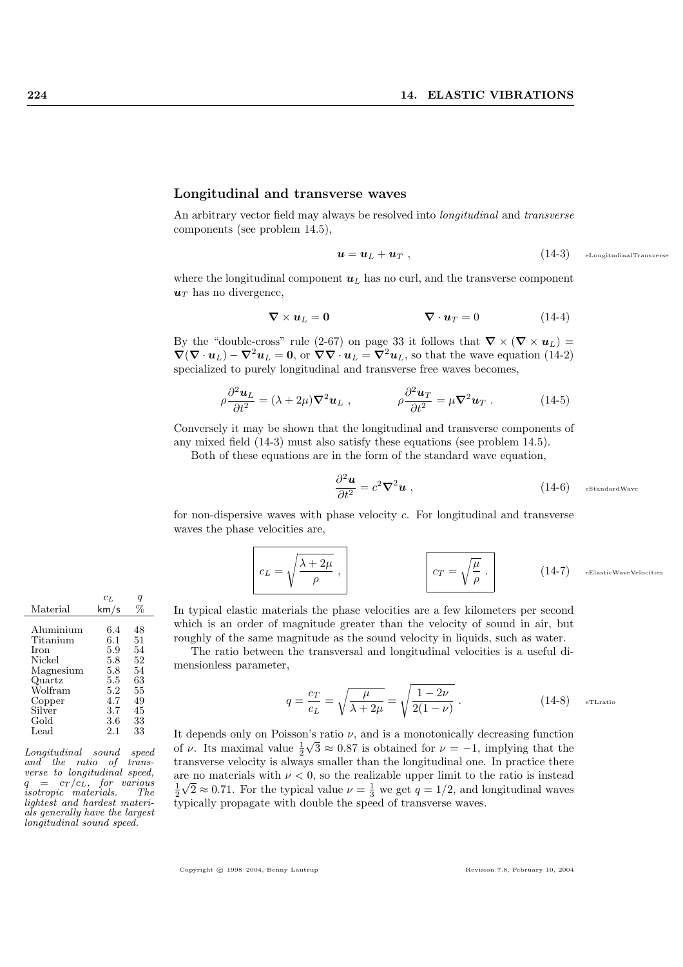## Longitudinal and transverse waves

An arbitrary vector field may always be resolved into longitudinal and transverse components (see problem 14.5),

$$
\boldsymbol{u} = \boldsymbol{u}_L + \boldsymbol{u}_T~, \hspace{2cm} (14\text{-}3) \hspace{2cm} \text{\tiny \it eLongitudinalTransverse} \\
$$

where the longitudinal component  $u<sub>L</sub>$  has no curl, and the transverse component  $u_T$  has no divergence,

$$
\nabla \times \mathbf{u}_L = \mathbf{0} \qquad \qquad \nabla \cdot \mathbf{u}_T = 0 \qquad (14-4)
$$

By the "double-cross" rule (2-67) on page 33 it follows that  $\nabla \times (\nabla \times \mathbf{u}_L)$  $\mathbf{\nabla}(\mathbf{\nabla}\cdot\mathbf{u}_L)-\mathbf{\nabla}^2\mathbf{u}_L=\mathbf{0}$ , or  $\mathbf{\nabla}\mathbf{\nabla}\cdot\mathbf{u}_L=\mathbf{\nabla}^2\mathbf{u}_L$ , so that the wave equation (14-2) specialized to purely longitudinal and transverse free waves becomes,

$$
\rho \frac{\partial^2 \mathbf{u}_L}{\partial t^2} = (\lambda + 2\mu) \nabla^2 \mathbf{u}_L , \qquad \rho \frac{\partial^2 \mathbf{u}_T}{\partial t^2} = \mu \nabla^2 \mathbf{u}_T . \qquad (14-5)
$$

Conversely it may be shown that the longitudinal and transverse components of any mixed field (14-3) must also satisfy these equations (see problem 14.5).

Both of these equations are in the form of the standard wave equation,

$$
\frac{\partial^2 \mathbf{u}}{\partial t^2} = c^2 \nabla^2 \mathbf{u} , \qquad (14-6) \qquad \text{estandardWave}
$$

for non-dispersive waves with phase velocity  $c$ . For longitudinal and transverse waves the phase velocities are,

$$
c_L = \sqrt{\frac{\lambda + 2\mu}{\rho}}, \qquad \qquad c_T = \sqrt{\frac{\mu}{\rho}}.
$$
 (14-7) <sup>eElasticWaveVelocities</sup>

In typical elastic materials the phase velocities are a few kilometers per second which is an order of magnitude greater than the velocity of sound in air, but roughly of the same magnitude as the sound velocity in liquids, such as water.

The ratio between the transversal and longitudinal velocities is a useful dimensionless parameter,

$$
q = \frac{c_T}{c_L} = \sqrt{\frac{\mu}{\lambda + 2\mu}} = \sqrt{\frac{1 - 2\nu}{2(1 - \nu)}}.
$$
 (14-8)  $\text{e}^{\text{r}}\text{Lratio}$ 

It depends only on Poisson's ratio  $\nu$ , and is a monotonically decreasing function of  $\nu$ . Its maximal value  $\frac{1}{2}\sqrt{3} \approx 0.87$  is obtained for  $\nu = -1$ , implying that the transverse velocity is always smaller than the longitudinal one. In practice there are no materials with  $\nu < 0$ , so the realizable upper limit to the ratio is instead  $\frac{1}{2}\sqrt{2} \approx 0.71$ . For the typical value  $\nu = \frac{1}{3}$  we get  $q = 1/2$ , and longitudinal waves typically propagate with double the speed of transverse waves.

|             | $c_L$ | q  |
|-------------|-------|----|
| Material    | km/s  | ℅  |
|             |       |    |
| Aluminium   | 6.4   | 48 |
| Titanium    | 6.1   | 51 |
| <b>Iron</b> | 5.9   | 54 |
| Nickel      | 5.8   | 52 |
| Magnesium   | 5.8   | 54 |
| Quartz      | 5.5   | 63 |
| Wolfram     | 5.2   | 55 |
| Copper      | 4.7   | 49 |
| Silver      | 3.7   | 45 |
| Gold        | 3.6   | 33 |
| Lead        | 2.1   | 33 |

Longitudinal sound speed and the ratio of transverse to longitudinal speed,  $q = c_T/c_L$ , for various isotropic materials. The lightest and hardest materials generally have the largest longitudinal sound speed.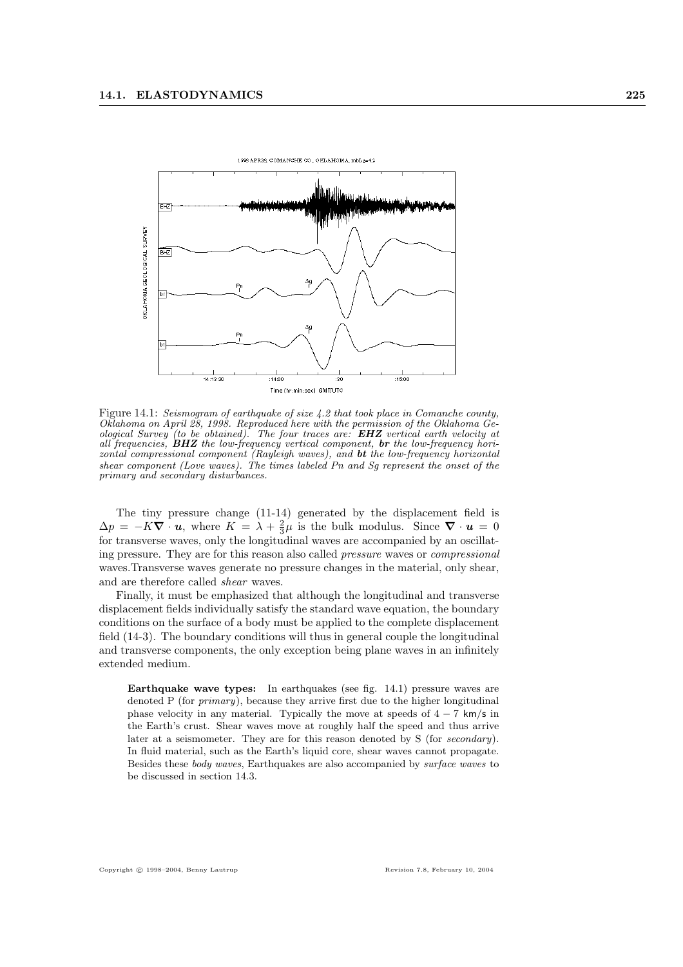

Figure 14.1: Seismogram of earthquake of size 4.2 that took place in Comanche county, Oklahoma on April 28, 1998. Reproduced here with the permission of the Oklahoma Geological Survey (to be obtained). The four traces are:  $EHZ$  vertical earth velocity at all frequencies,  $BHZ$  the low-frequency vertical component, br the low-frequency horizontal compressional component (Rayleigh waves), and bt the low-frequency horizontal shear component (Love waves). The times labeled Pn and Sg represent the onset of the primary and secondary disturbances.

The tiny pressure change (11-14) generated by the displacement field is  $\Delta p = -K \nabla \cdot \boldsymbol{u}$ , where  $K = \lambda + \frac{2}{3}\mu$  is the bulk modulus. Since  $\nabla \cdot \boldsymbol{u} = 0$ for transverse waves, only the longitudinal waves are accompanied by an oscillating pressure. They are for this reason also called pressure waves or compressional waves.Transverse waves generate no pressure changes in the material, only shear, and are therefore called shear waves.

Finally, it must be emphasized that although the longitudinal and transverse displacement fields individually satisfy the standard wave equation, the boundary conditions on the surface of a body must be applied to the complete displacement field (14-3). The boundary conditions will thus in general couple the longitudinal and transverse components, the only exception being plane waves in an infinitely extended medium.

Earthquake wave types: In earthquakes (see fig. 14.1) pressure waves are denoted P (for *primary*), because they arrive first due to the higher longitudinal phase velocity in any material. Typically the move at speeds of  $4 - 7$  km/s in the Earth's crust. Shear waves move at roughly half the speed and thus arrive later at a seismometer. They are for this reason denoted by S (for *secondary*). In fluid material, such as the Earth's liquid core, shear waves cannot propagate. Besides these body waves, Earthquakes are also accompanied by surface waves to be discussed in section 14.3.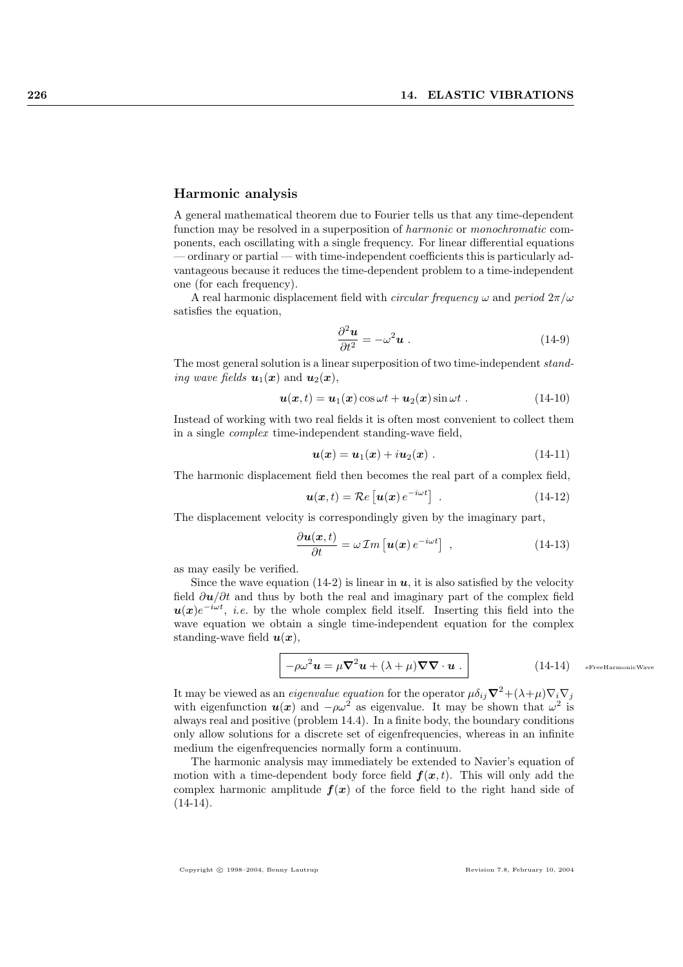## Harmonic analysis

A general mathematical theorem due to Fourier tells us that any time-dependent function may be resolved in a superposition of *harmonic* or *monochromatic* components, each oscillating with a single frequency. For linear differential equations — ordinary or partial — with time-independent coefficients this is particularly advantageous because it reduces the time-dependent problem to a time-independent one (for each frequency).

A real harmonic displacement field with *circular frequency*  $\omega$  and *period*  $2\pi/\omega$ satisfies the equation,

$$
\frac{\partial^2 \mathbf{u}}{\partial t^2} = -\omega^2 \mathbf{u} \ . \tag{14-9}
$$

The most general solution is a linear superposition of two time-independent standing wave fields  $u_1(x)$  and  $u_2(x)$ ,

$$
\mathbf{u}(\mathbf{x},t) = \mathbf{u}_1(\mathbf{x})\cos\omega t + \mathbf{u}_2(\mathbf{x})\sin\omega t \ . \tag{14-10}
$$

Instead of working with two real fields it is often most convenient to collect them in a single complex time-independent standing-wave field,

$$
u(x) = u_1(x) + iu_2(x) . \qquad (14-11)
$$

The harmonic displacement field then becomes the real part of a complex field,

$$
\mathbf{u}(\mathbf{x},t) = \mathcal{R}e\left[\mathbf{u}(\mathbf{x})\,e^{-i\omega t}\right] \ . \tag{14-12}
$$

The displacement velocity is correspondingly given by the imaginary part,

$$
\frac{\partial \boldsymbol{u}(\boldsymbol{x},t)}{\partial t} = \omega \mathcal{I}m \left[ \boldsymbol{u}(\boldsymbol{x}) e^{-i\omega t} \right] , \qquad (14-13)
$$

as may easily be verified.

Since the wave equation (14-2) is linear in  $u$ , it is also satisfied by the velocity field  $\partial u/\partial t$  and thus by both the real and imaginary part of the complex field  $u(x)e^{-i\omega t}$ , *i.e.* by the whole complex field itself. Inserting this field into the wave equation we obtain a single time-independent equation for the complex standing-wave field  $u(x)$ ,

$$
-\rho\omega^2\mathbf{u} = \mu\nabla^2\mathbf{u} + (\lambda + \mu)\nabla\nabla\cdot\mathbf{u} \ . \tag{14-14}
$$
 *e*FreefharmonicWave

It may be viewed as an *eigenvalue equation* for the operator  $\mu \delta_{ij} \nabla^2 + (\lambda + \mu) \nabla_i \nabla_j$ with eigenfunction  $u(x)$  and  $-\rho\omega^2$  as eigenvalue. It may be shown that  $\omega^2$  is always real and positive (problem 14.4). In a finite body, the boundary conditions only allow solutions for a discrete set of eigenfrequencies, whereas in an infinite medium the eigenfrequencies normally form a continuum.

The harmonic analysis may immediately be extended to Navier's equation of motion with a time-dependent body force field  $f(x, t)$ . This will only add the complex harmonic amplitude  $f(x)$  of the force field to the right hand side of  $(14-14)$ .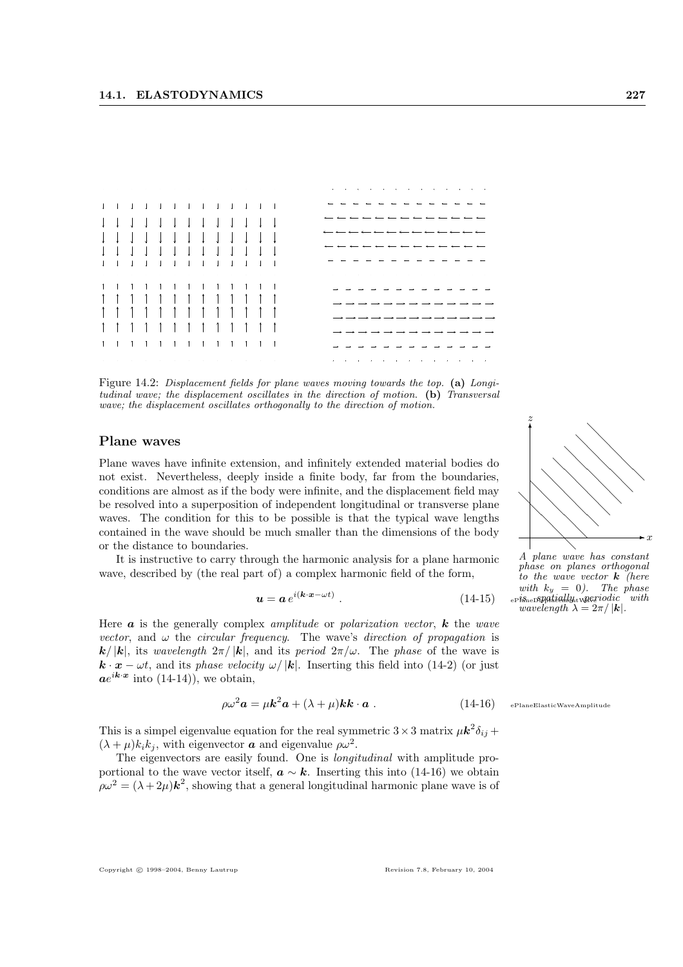

Figure 14.2: Displacement fields for plane waves moving towards the top. (a) Longitudinal wave; the displacement oscillates in the direction of motion. (b) Transversal wave; the displacement oscillates orthogonally to the direction of motion.

#### Plane waves

Plane waves have infinite extension, and infinitely extended material bodies do not exist. Nevertheless, deeply inside a finite body, far from the boundaries, conditions are almost as if the body were infinite, and the displacement field may be resolved into a superposition of independent longitudinal or transverse plane waves. The condition for this to be possible is that the typical wave lengths contained in the wave should be much smaller than the dimensions of the body or the distance to boundaries.

It is instructive to carry through the harmonic analysis for a plane harmonic wave, described by (the real part of) a complex harmonic field of the form,

$$
u = a e^{i(k \cdot x - \omega t)}.
$$
 (14-15) 
$$
e^{i \oint_{\text{S}_{\text{ref}}} \text{S}_{\text{ref}}} \text{gptically}_{\text{tw}} \text{gertively}
$$

Here  $\boldsymbol{a}$  is the generally complex *amplitude* or *polarization vector*,  $\boldsymbol{k}$  the *wave* vector, and  $\omega$  the circular frequency. The wave's direction of propagation is  $k/|k|$ , its wavelength  $2\pi/|k|$ , and its period  $2\pi/\omega$ . The phase of the wave is  $k \cdot x - \omega t$ , and its phase velocity  $\omega / |\mathbf{k}|$ . Inserting this field into (14-2) (or just  $ae^{ik \cdot x}$  into (14-14)), we obtain,

$$
\rho \omega^2 \boldsymbol{a} = \mu \boldsymbol{k}^2 \boldsymbol{a} + (\lambda + \mu) \boldsymbol{k} \boldsymbol{k} \cdot \boldsymbol{a} \; . \tag{14-16} \qquad \qquad (14-16)
$$
 <sub>ePlaneElasticWaveAmplitude</sub>

This is a simpel eigenvalue equation for the real symmetric  $3 \times 3$  matrix  $\mu \mathbf{k}^2 \delta_{ij} +$  $(\lambda + \mu)k_i k_j$ , with eigenvector **a** and eigenvalue  $\rho \omega^2$ .

The eigenvectors are easily found. One is longitudinal with amplitude proportional to the wave vector itself,  $\mathbf{a} \sim \mathbf{k}$ . Inserting this into (14-16) we obtain  $\bar{\rho}\omega^2 = (\lambda + 2\mu)\mathbf{k}^2$ , showing that a general longitudinal harmonic plane wave is of



A plane wave has constant phase on planes orthogonal to the wave vector  $\boldsymbol{k}$  (here with  $k_y = 0$ ). The phase<br>is expatially were value with wavelength  $\lambda = 2\pi/|\mathbf{k}|$ .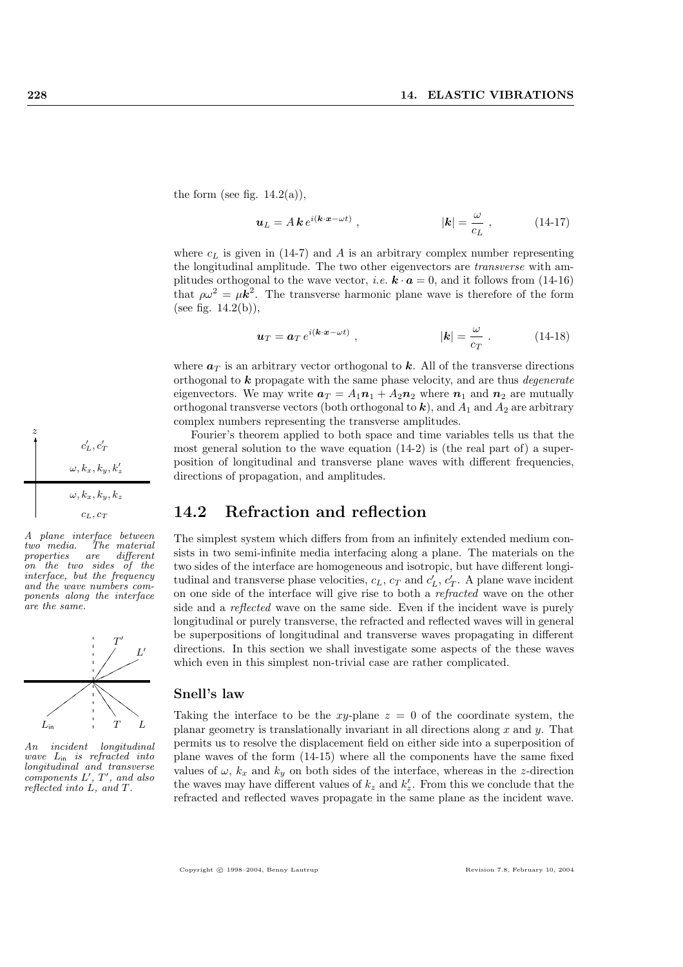the form (see fig.  $14.2(a)$ ),

$$
\mathbf{u}_L = A \, \mathbf{k} \, e^{i(\mathbf{k} \cdot \mathbf{x} - \omega t)} \;, \qquad |\mathbf{k}| = \frac{\omega}{c_L} \;, \qquad (14-17)
$$

where  $c_L$  is given in (14-7) and A is an arbitrary complex number representing the longitudinal amplitude. The two other eigenvectors are transverse with amplitudes orthogonal to the wave vector, *i.e.*  $\mathbf{k} \cdot \mathbf{a} = 0$ , and it follows from (14-16) that  $\rho\omega^2 = \mu \mathbf{k}^2$ . The transverse harmonic plane wave is therefore of the form (see fig.  $14.2(b)$ ),

$$
\boldsymbol{u}_T = \boldsymbol{a}_T e^{i(\boldsymbol{k}\cdot\boldsymbol{x}-\omega t)} \;, \qquad |\boldsymbol{k}| = \frac{\omega}{c_T} \; . \tag{14-18}
$$

where  $a_T$  is an arbitrary vector orthogonal to k. All of the transverse directions orthogonal to  $k$  propagate with the same phase velocity, and are thus *degenerate* eigenvectors. We may write  $a_T = A_1 n_1 + A_2 n_2$  where  $n_1$  and  $n_2$  are mutually orthogonal transverse vectors (both orthogonal to  $k$ ), and  $A_1$  and  $A_2$  are arbitrary complex numbers representing the transverse amplitudes.

Fourier's theorem applied to both space and time variables tells us that the most general solution to the wave equation  $(14-2)$  is (the real part of) a superposition of longitudinal and transverse plane waves with different frequencies, directions of propagation, and amplitudes.

# 14.2 Refraction and reflection

The simplest system which differs from from an infinitely extended medium consists in two semi-infinite media interfacing along a plane. The materials on the two sides of the interface are homogeneous and isotropic, but have different longitudinal and transverse phase velocities,  $c_L$ ,  $c_T$  and  $c'_L$ ,  $c'_T$ . A plane wave incident on one side of the interface will give rise to both a refracted wave on the other side and a reflected wave on the same side. Even if the incident wave is purely longitudinal or purely transverse, the refracted and reflected waves will in general be superpositions of longitudinal and transverse waves propagating in different directions. In this section we shall investigate some aspects of the these waves which even in this simplest non-trivial case are rather complicated.

#### Snell's law

Taking the interface to be the  $x_y$ -plane  $z = 0$  of the coordinate system, the planar geometry is translationally invariant in all directions along  $x$  and  $y$ . That permits us to resolve the displacement field on either side into a superposition of plane waves of the form (14-15) where all the components have the same fixed values of  $\omega$ ,  $k_x$  and  $k_y$  on both sides of the interface, whereas in the z-direction the waves may have different values of  $k_z$  and  $k'_z$ . From this we conclude that the refracted and reflected waves propagate in the same plane as the incident wave.

$$
\begin{array}{c}\nz\\\n\\
\downarrow \\
\omega, k_x, k_y, k_z'\n\\
\omega, k_x, k_y, k_z\nc_L, c_T\n\end{array}
$$

A plane interface between two media. The material properties are different on the two sides of the interface, but the frequency and the wave numbers components along the interface are the same.



An incident longitudinal wave Lin is refracted into longitudinal and transverse components  $L'$ ,  $T'$ , and also reflected into L, and T.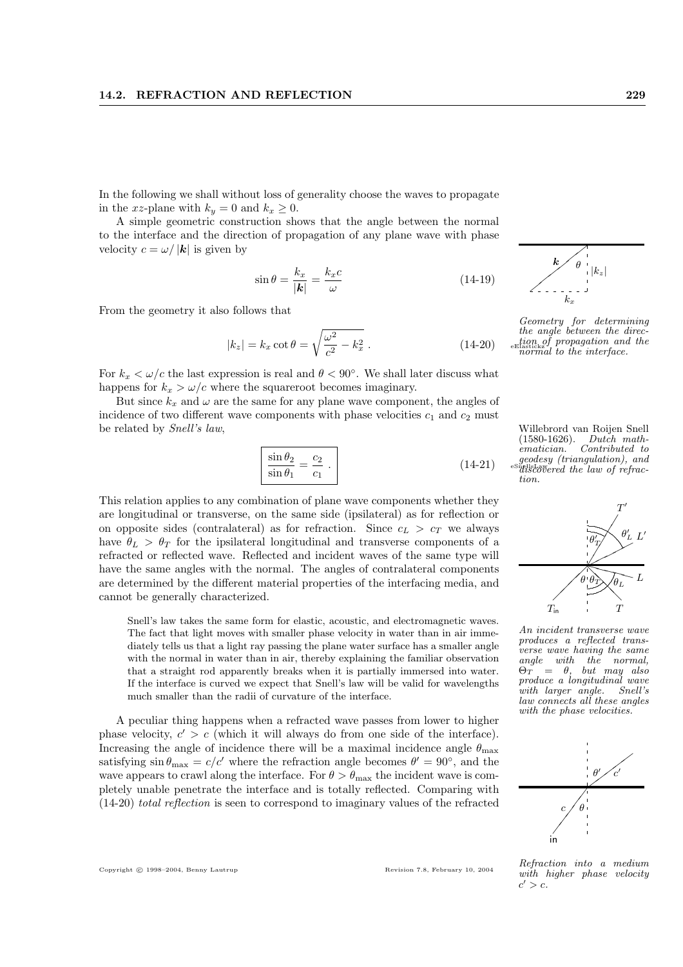In the following we shall without loss of generality choose the waves to propagate in the xz-plane with  $k_y = 0$  and  $k_x \geq 0$ .

A simple geometric construction shows that the angle between the normal to the interface and the direction of propagation of any plane wave with phase velocity  $c = \omega / |\mathbf{k}|$  is given by

$$
\sin \theta = \frac{k_x}{|\mathbf{k}|} = \frac{k_x c}{\omega} \tag{14-19}
$$

From the geometry it also follows that

$$
|k_z| = k_x \cot \theta = \sqrt{\frac{\omega^2}{c^2} - k_x^2}
$$
\n
$$
(14-20)
$$
\n
$$
(14-20)
$$
\n
$$
\text{the angle between the direction of propagation and the potential of the surface.}
$$
\n
$$
(14-20)
$$
\n
$$
\text{reparallel between the direction of the surface.}
$$

For  $k_x < \omega/c$  the last expression is real and  $\theta < 90^\circ$ . We shall later discuss what happens for  $k_x > \omega/c$  where the squareroot becomes imaginary.

But since  $k_x$  and  $\omega$  are the same for any plane wave component, the angles of incidence of two different wave components with phase velocities  $c_1$  and  $c_2$  must be related by *Snell's law*,<br>
Willebrord van Roijen Snell<br>
(1580-1626) Dutch math-

$$
\frac{\sin \theta_2}{\sin \theta_1} = \frac{c_2}{c_1} \, .
$$
\n(14-21)

\nenduction.

\n(14-22)

\n(14-23)

\nremutation. Contrળutea to  
e<sup>geodesy</sup> (triangular) and  
tion.

This relation applies to any combination of plane wave components whether they are longitudinal or transverse, on the same side (ipsilateral) as for reflection or on opposite sides (contralateral) as for refraction. Since  $c_L > c_T$  we always have  $\theta_L > \theta_T$  for the ipsilateral longitudinal and transverse components of a refracted or reflected wave. Reflected and incident waves of the same type will have the same angles with the normal. The angles of contralateral components are determined by the different material properties of the interfacing media, and cannot be generally characterized.

Snell's law takes the same form for elastic, acoustic, and electromagnetic waves. The fact that light moves with smaller phase velocity in water than in air immediately tells us that a light ray passing the plane water surface has a smaller angle with the normal in water than in air, thereby explaining the familiar observation that a straight rod apparently breaks when it is partially immersed into water. If the interface is curved we expect that Snell's law will be valid for wavelengths much smaller than the radii of curvature of the interface.

A peculiar thing happens when a refracted wave passes from lower to higher phase velocity,  $c' > c$  (which it will always do from one side of the interface). Increasing the angle of incidence there will be a maximal incidence angle  $\theta_{\text{max}}$ satisfying  $\sin \theta_{\text{max}} = c/c'$  where the refraction angle becomes  $\theta' = 90^{\circ}$ , and the wave appears to crawl along the interface. For  $\theta > \theta_{\text{max}}$  the incident wave is completely unable penetrate the interface and is totally reflected. Comparing with (14-20) total reflection is seen to correspond to imaginary values of the refracted ★ ★ ★ ★ ★ ★ θ  $k_{x}$ k  $|k_z|$ 

Geometry for determining the angle between the direc-

 $(1580-1626)$ . ematician. Contributed to geodesy (triangulation), and tion.



An incident transverse wave produces a reflected transverse wave having the same angle with the normal,  $\Theta_T = \theta$ , but may also produce a longitudinal wave with larger angle. Snell's law connects all these angles with the phase velocities.



Refraction into a medium with higher phase velocity  $c' > c$ .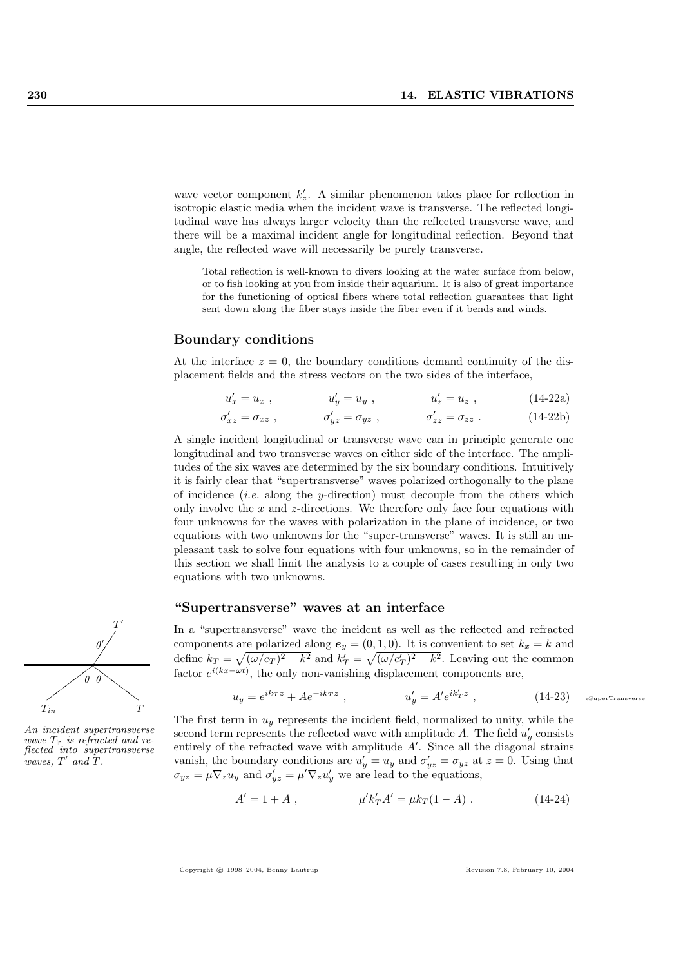wave vector component  $k'_z$ . A similar phenomenon takes place for reflection in isotropic elastic media when the incident wave is transverse. The reflected longitudinal wave has always larger velocity than the reflected transverse wave, and there will be a maximal incident angle for longitudinal reflection. Beyond that angle, the reflected wave will necessarily be purely transverse.

Total reflection is well-known to divers looking at the water surface from below, or to fish looking at you from inside their aquarium. It is also of great importance for the functioning of optical fibers where total reflection guarantees that light sent down along the fiber stays inside the fiber even if it bends and winds.

### Boundary conditions

At the interface  $z = 0$ , the boundary conditions demand continuity of the displacement fields and the stress vectors on the two sides of the interface,

$$
u'_x = u_x
$$
,  $u'_y = u_y$ ,  $u'_z = u_z$ , (14-22a)

$$
\sigma'_{xz} = \sigma_{xz} , \qquad \qquad \sigma'_{yz} = \sigma_{yz} , \qquad \qquad \sigma'_{zz} = \sigma_{zz} . \qquad (14-22b)
$$

A single incident longitudinal or transverse wave can in principle generate one longitudinal and two transverse waves on either side of the interface. The amplitudes of the six waves are determined by the six boundary conditions. Intuitively it is fairly clear that "supertransverse" waves polarized orthogonally to the plane of incidence (*i.e.* along the y-direction) must decouple from the others which only involve the  $x$  and  $z$ -directions. We therefore only face four equations with four unknowns for the waves with polarization in the plane of incidence, or two equations with two unknowns for the "super-transverse" waves. It is still an unpleasant task to solve four equations with four unknowns, so in the remainder of this section we shall limit the analysis to a couple of cases resulting in only two equations with two unknowns.

#### "Supertransverse" waves at an interface

In a "supertransverse" wave the incident as well as the reflected and refracted components are polarized along  $e_y = (0, 1, 0)$ . It is convenient to set  $k_x = k$  and define  $k_T =$  $\frac{a_1}{a_2}$  $\sqrt{(\omega/c_T)^2 - k^2}$  and  $k'_T =$  $(0, 1, 0)$ . It is convenient to set  $\kappa_x = \kappa$  and  $\sqrt{(\omega/c'_T)^2 - k^2}$ . Leaving out the common factor  $e^{i(kx-\omega t)}$ , the only non-vanishing displacement components are,

$$
u_y = e^{ik_T z} + Ae^{-ik_T z} , \qquad \qquad u'_y = A'e^{ik'_T z} , \qquad (14-23) \qquad \text{e}^{\text{SuperTransverse}}
$$

The first term in  $u_y$  represents the incident field, normalized to unity, while the second term represents the reflected wave with amplitude A. The field  $u'_y$  consists entirely of the refracted wave with amplitude  $A'$ . Since all the diagonal strains vanish, the boundary conditions are  $u'_y = u_y$  and  $\sigma'_{yz} = \sigma_{yz}$  at  $z = 0$ . Using that  $\sigma_{yz} = \mu \nabla_z u_y$  and  $\sigma'_{yz} = \mu' \nabla_z u'_y$  we are lead to the equations,

$$
A' = 1 + A , \qquad \qquad \mu' k'_T A' = \mu k_T (1 - A) . \qquad (14-24)
$$



An incident supertransverse wave  $T_{\text{in}}$  is refracted and reflected into supertransverse waves,  $T'$  and  $T$ .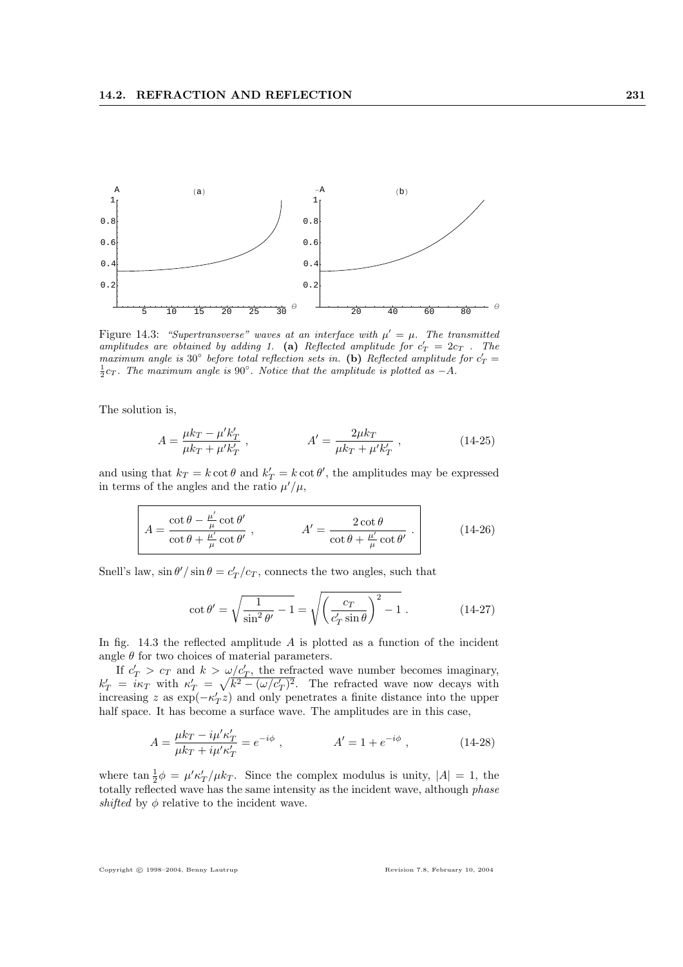

Figure 14.3: "Supertransverse" waves at an interface with  $\mu' = \mu$ . The transmitted amplitudes are obtained by adding 1. (a) Reflected amplitude for  $c'_T = 2c_T$ . The maximum angle is 30° before total reflection sets in. (b) Reflected amplitude for  $c'_T =$  $\frac{1}{2}c_T$ . The maximum angle is 90°. Notice that the amplitude is plotted as  $-A$ .

The solution is,

$$
A = \frac{\mu k_T - \mu' k'_T}{\mu k_T + \mu' k'_T} , \qquad A' = \frac{2\mu k_T}{\mu k_T + \mu' k'_T} , \qquad (14-25)
$$

and using that  $k_T = k \cot \theta$  and  $k_T = k \cot \theta'$ , the amplitudes may be expressed in terms of the angles and the ratio  $\mu'/\mu$ ,

$$
A = \frac{\cot \theta - \frac{\mu'}{\mu} \cot \theta'}{\cot \theta + \frac{\mu'}{\mu} \cot \theta'}, \qquad A' = \frac{2 \cot \theta}{\cot \theta + \frac{\mu'}{\mu} \cot \theta'}.
$$
 (14-26)

Snell's law,  $\sin \theta'/\sin \theta = c'_T/c_T$ , connects the two angles, such that

$$
\cot \theta' = \sqrt{\frac{1}{\sin^2 \theta'} - 1} = \sqrt{\left(\frac{c_T}{c'_T \sin \theta}\right)^2 - 1}.
$$
 (14-27)

In fig. 14.3 the reflected amplitude  $A$  is plotted as a function of the incident angle  $\theta$  for two choices of material parameters.

If  $c'_T > c_T$  and  $k > \omega/c'_T$ , the refracted wave number becomes imaginary,  $k'_T = i\kappa_T$  with  $\kappa'_T =$  $\cdot$   $\mu$  $k^2 - (\omega/c_T')^2$ . The refracted wave now decays with increasing z as  $\exp(-\kappa'_T z)$  and only penetrates a finite distance into the upper half space. It has become a surface wave. The amplitudes are in this case,

$$
A = \frac{\mu k_T - i\mu' \kappa'_T}{\mu k_T + i\mu' \kappa'_T} = e^{-i\phi} , \qquad A' = 1 + e^{-i\phi} , \qquad (14-28)
$$

where  $\tan \frac{1}{2}\phi = \mu' \kappa'_T/\mu k_T$ . Since the complex modulus is unity,  $|A| = 1$ , the totally reflected wave has the same intensity as the incident wave, although phase shifted by  $\phi$  relative to the incident wave.

 $\begin{tabular}{ll} \textbf{Copyright} \textcolor{red}{\textbf{\textcolor{blue}{G}}} & \textbf{1998--2004, \textcolor{red}{\textbf{Benny} Lautrup }}\\ \textbf{198--2004, \textcolor{red}{\textbf{Benny} Lautrup }} & & \\ \textbf{109} & \textbf{199} & \textbf{199} & \textbf{199} \\ \textbf{100} & \textbf{199} & \textbf{199} & \textbf{199} \\ \textbf{110} & \textbf{199} & \textbf{199} & \textbf{199} \\ \textbf{120} & \textbf{19$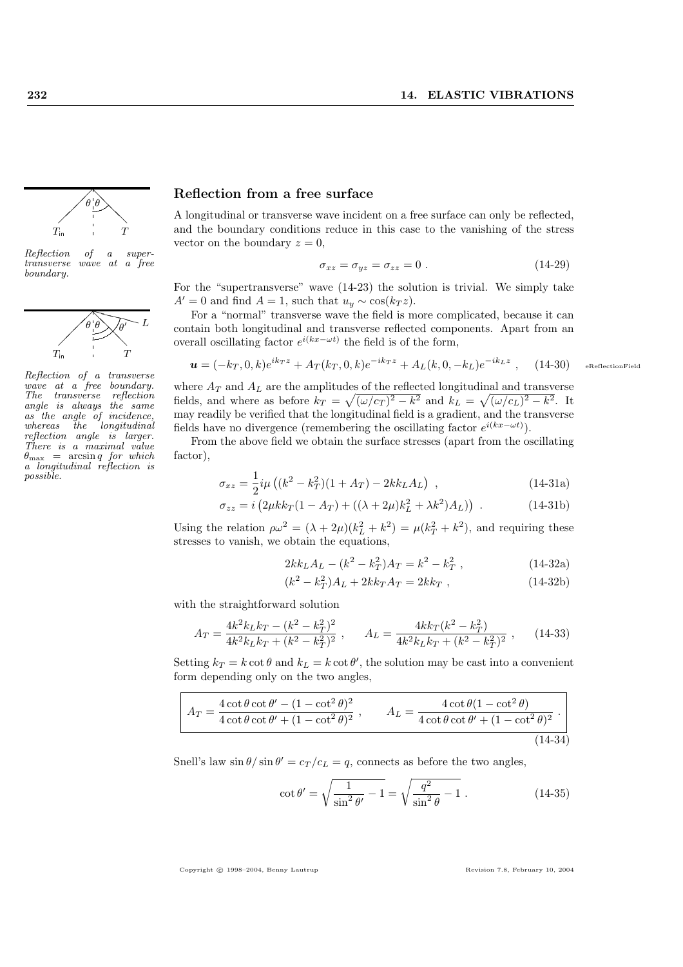

Reflection of a super-<br>transverse wave at a free  $wave$  at a free boundary.



Reflection of a transverse wave at a free boundary. The transverse reflection angle is always the same as the angle of incidence,  $\delta$ longitudinal reflection angle is larger. There is a maximal value  $\theta_{\text{max}} = \arcsin q$  for which a longitudinal reflection is possible.

## Reflection from a free surface

A longitudinal or transverse wave incident on a free surface can only be reflected, and the boundary conditions reduce in this case to the vanishing of the stress vector on the boundary  $z = 0$ ,

$$
\sigma_{xz} = \sigma_{yz} = \sigma_{zz} = 0. \tag{14-29}
$$

For the "supertransverse" wave (14-23) the solution is trivial. We simply take  $A' = 0$  and find  $A = 1$ , such that  $u_y \sim \cos(k_T z)$ .

For a "normal" transverse wave the field is more complicated, because it can contain both longitudinal and transverse reflected components. Apart from an  $\sim$  comain both longitudinal and transverse renected component overall oscillating factor  $e^{i(kx-\omega t)}$  the field is of the form,

$$
\mathbf{u} = (-k_T, 0, k)e^{ik_T z} + A_T(k_T, 0, k)e^{-ik_T z} + A_L(k, 0, -k_L)e^{-ik_L z}, \quad (14-30)
$$

where  $A_T$  and  $A_L$  are the amplitudes of the reflected longitudinal and transverse fields, and where as before  $k_T = \sqrt{(\omega/c_T)^2 - k^2}$  and  $k_L = \sqrt{(\omega/c_L)^2 - k^2}$ . It may readily be verified that the longitudinal field is a gradient, and the transverse fields have no divergence (remembering the oscillating factor  $e^{i(kx-\omega t)}$ ).

From the above field we obtain the surface stresses (apart from the oscillating factor),

$$
\sigma_{xz} = \frac{1}{2} i \mu \left( (k^2 - k_T^2)(1 + A_T) - 2k k_L A_L \right) , \qquad (14-31a)
$$

$$
\sigma_{zz} = i \left( 2\mu k k_T (1 - A_T) + ((\lambda + 2\mu)k_L^2 + \lambda k^2) A_L) \right) \ . \tag{14-31b}
$$

Using the relation  $\rho \omega^2 = (\lambda + 2\mu)(k_L^2 + k^2) = \mu(k_T^2 + k^2)$ , and requiring these stresses to vanish, we obtain the equations,

$$
2kk_L A_L - (k^2 - k_T^2)A_T = k^2 - k_T^2 \t\t(14-32a)
$$

$$
(k^2 - k_T^2)A_L + 2kk_T A_T = 2kk_T , \t\t(14-32b)
$$

with the straightforward solution

$$
A_T = \frac{4k^2k_Lk_T - (k^2 - k_T^2)^2}{4k^2k_Lk_T + (k^2 - k_T^2)^2} , \qquad A_L = \frac{4kk_T(k^2 - k_T^2)}{4k^2k_Lk_T + (k^2 - k_T^2)^2} , \qquad (14-33)
$$

Setting  $k_T = k \cot \theta$  and  $k_L = k \cot \theta'$ , the solution may be cast into a convenient form depending only on the two angles,

$$
A_T = \frac{4 \cot \theta \cot \theta' - (1 - \cot^2 \theta)^2}{4 \cot \theta \cot \theta' + (1 - \cot^2 \theta)^2}, \qquad A_L = \frac{4 \cot \theta (1 - \cot^2 \theta)}{4 \cot \theta \cot \theta' + (1 - \cot^2 \theta)^2}.
$$
\n(14-34)

Snell's law  $\sin \theta / \sin \theta' = c_T / c_L = q$ , connects as before the two angles,

$$
\cot \theta' = \sqrt{\frac{1}{\sin^2 \theta'} - 1} = \sqrt{\frac{q^2}{\sin^2 \theta} - 1}.
$$
 (14-35)

 $\begin{tabular}{ll} \textbf{Copyright} \textcolor{red}{\textbf{\textcolor{blue}{G}}} & \textbf{1998--2004, \textcolor{red}{\textbf{Benny} Lautrup }}\\ \textbf{198--2004, \textcolor{red}{\textbf{Benny} Lautrup }} & & \\ \textbf{1099--2004, \textcolor{red}{\textbf{Beniny} Lautrup }} & & \\ \textbf{1199--2004, \textcolor{red}{\textbf{Benay} Lautrup }} & & \\ \textbf{1209--2004, \textcolor{red}{\textbf{Benay} Lautrup }} & & \\ \textbf{1309--2004, \textcolor{red}{\$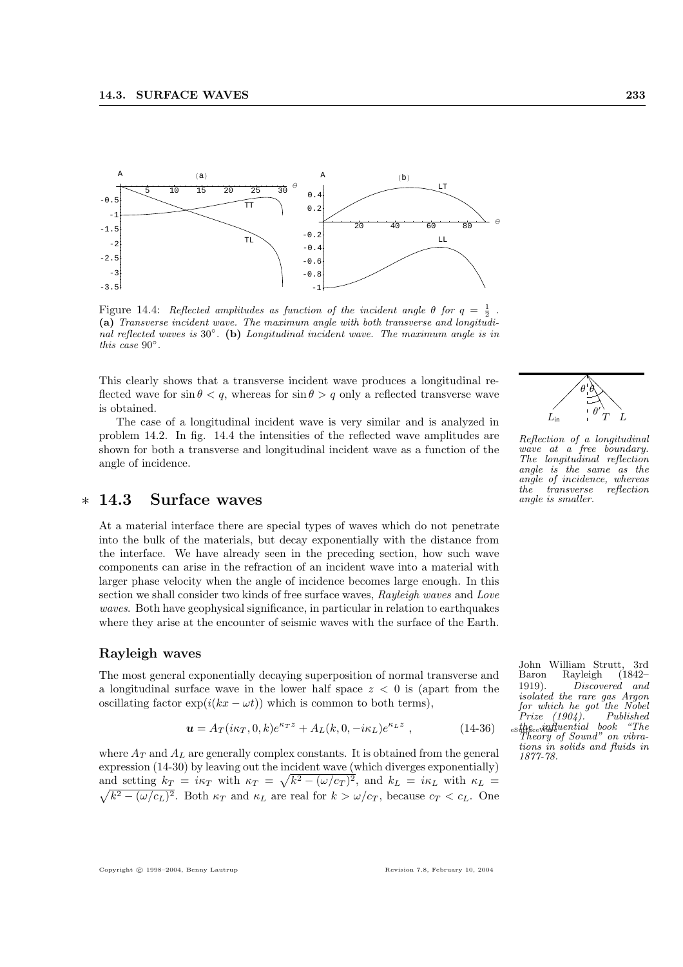

Figure 14.4: Reflected amplitudes as function of the incident angle  $\theta$  for  $q = \frac{1}{2}$ . (a) Transverse incident wave. The maximum angle with both transverse and longitudinal reflected waves is 30 $^{\circ}$ . (b) Longitudinal incident wave. The maximum angle is in this case 90°.

This clearly shows that a transverse incident wave produces a longitudinal reflected wave for  $\sin \theta < q$ , whereas for  $\sin \theta > q$  only a reflected transverse wave  $\blacksquare$  is obtained.

The case of a longitudinal incident wave is very similar and is analyzed in problem 14.2. In fig. 14.4 the intensities of the reflected wave amplitudes are shown for both a transverse and longitudinal incident wave as a function of the angle of incidence.

# 14.3 Surface waves

At a material interface there are special types of waves which do not penetrate into the bulk of the materials, but decay exponentially with the distance from the interface. We have already seen in the preceding section, how such wave components can arise in the refraction of an incident wave into a material with larger phase velocity when the angle of incidence becomes large enough. In this section we shall consider two kinds of free surface waves, Rayleigh waves and Love waves. Both have geophysical significance, in particular in relation to earthquakes where they arise at the encounter of seismic waves with the surface of the Earth.

#### Rayleigh waves

The most general exponentially decaying superposition of normal transverse and a longitudinal surface wave in the lower half space  $z < 0$  is (apart from the oscillating factor  $\exp(i(kx - \omega t))$  which is common to both terms),

$$
\mathbf{u} = A_T(i\kappa_T, 0, k)e^{\kappa_T z} + A_L(k, 0, -i\kappa_L)e^{\kappa_L z} , \qquad (14-36)
$$

where  $A_T$  and  $A_L$  are generally complex constants. It is obtained from the general expression  $(14-30)$  by leaving out the incident wave (which diverges exponentially) and setting  $k_T = i\kappa_T$  with  $\kappa_T = \sqrt{k^2 - (\omega/c_T)^2}$ , and  $k_L = i\kappa_L$  with  $\kappa_L =$  $k^2 - (\omega/c_L)^2$ . Both  $\kappa_T$  and  $\kappa_L$  are real for  $k > \omega/c_T$ , because  $c_T < c_L$ . One



Reflection of a longitudinal wave at a free boundary. The longitudinal reflection angle is the same as the angle of incidence, whereas the transverse reflection angle is smaller.

John William Strutt, 3rd Baron Rayleigh (1842– 1919). Discovered and isolated the rare gas Argon for which he got the Nobel<br>Prize  $(1904)$ . Published Prize  $(1904)$ .  $t$ he influential book "The Theory of Sound" on vibra-, (14-36) eSurfaceWave tions in solids and fluids in 1877-78.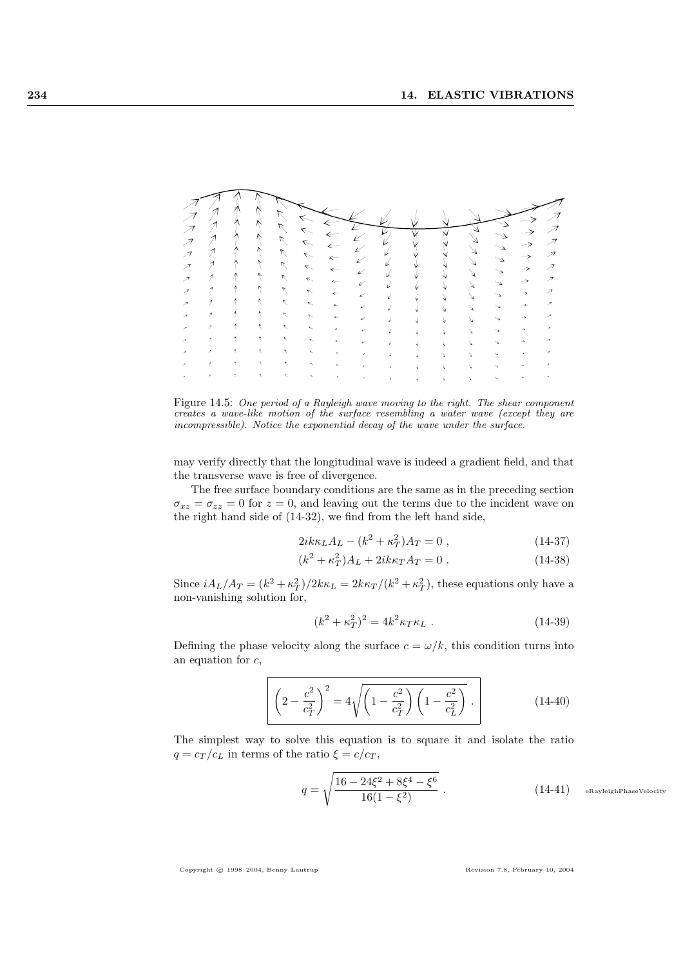

Figure 14.5: One period of a Rayleigh wave moving to the right. The shear component creates a wave-like motion of the surface resembling a water wave (except they are incompressible). Notice the exponential decay of the wave under the surface.

may verify directly that the longitudinal wave is indeed a gradient field, and that the transverse wave is free of divergence.

The free surface boundary conditions are the same as in the preceding section  $\sigma_{xz} = \sigma_{zz} = 0$  for  $z = 0$ , and leaving out the terms due to the incident wave on the right hand side of (14-32), we find from the left hand side,

$$
2ik\kappa_L A_L - (k^2 + \kappa_T^2)A_T = 0 , \qquad (14-37)
$$

$$
(k^2 + \kappa_T^2)A_L + 2ik\kappa_T A_T = 0.
$$
 (14-38)

Since  $iA_L/A_T = (k^2 + \kappa_T^2)/2k\kappa_L = 2k\kappa_T/(k^2 + \kappa_T^2)$ , these equations only have a non-vanishing solution for,

$$
(k^2 + \kappa_T^2)^2 = 4k^2 \kappa_T \kappa_L \tag{14-39}
$$

Defining the phase velocity along the surface  $c = \omega/k$ , this condition turns into an equation for c,

$$
\left[ \left( 2 - \frac{c^2}{c_T^2} \right)^2 = 4 \sqrt{\left( 1 - \frac{c^2}{c_T^2} \right) \left( 1 - \frac{c^2}{c_L^2} \right)} . \right]
$$
 (14-40)

The simplest way to solve this equation is to square it and isolate the ratio  $q = c_T/c_L$  in terms of the ratio  $\xi = c/c_T$ ,

$$
q = \sqrt{\frac{16 - 24\xi^2 + 8\xi^4 - \xi^6}{16(1 - \xi^2)}}.
$$
 (14-41) <sub>eRayleighPhase Velocity</sub>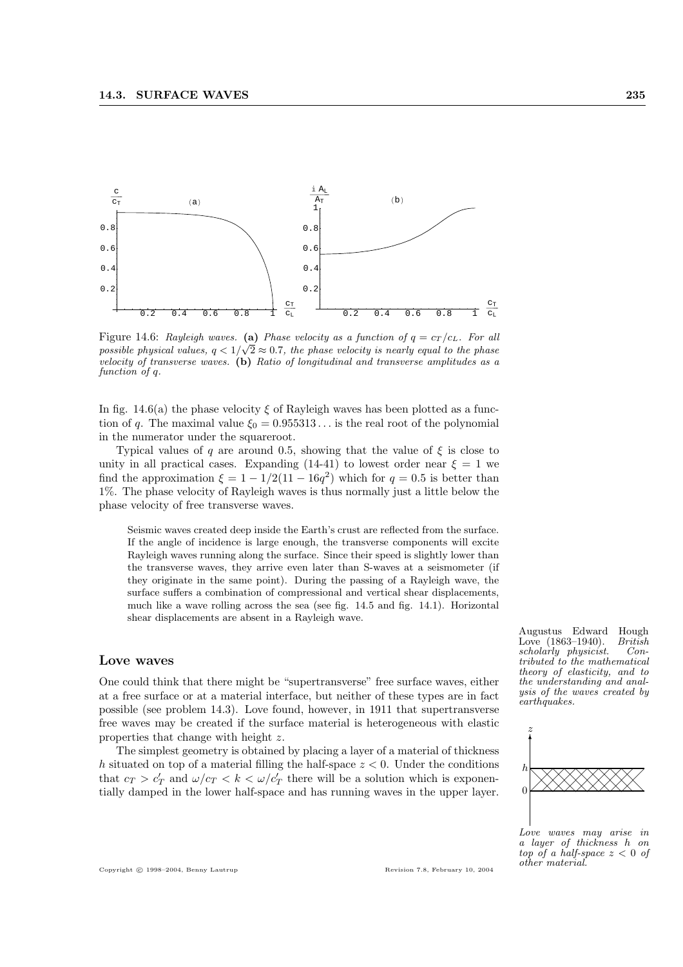

Figure 14.6: Rayleigh waves. (a) Phase velocity as a function of  $q = c_T/c_L$ . For all possible physical values,  $q < 1/\sqrt{2} \approx 0.7$ , the phase velocity is nearly equal to the phase velocity of transverse waves. (b) Ratio of longitudinal and transverse amplitudes as a function of q.

In fig. 14.6(a) the phase velocity  $\xi$  of Rayleigh waves has been plotted as a function of q. The maximal value  $\xi_0 = 0.955313...$  is the real root of the polynomial in the numerator under the squareroot.

Typical values of q are around 0.5, showing that the value of  $\xi$  is close to unity in all practical cases. Expanding (14-41) to lowest order near  $\xi = 1$  we find the approximation  $\xi = 1 - 1/2(11 - 16q^2)$  which for  $q = 0.5$  is better than 1%. The phase velocity of Rayleigh waves is thus normally just a little below the phase velocity of free transverse waves.

Seismic waves created deep inside the Earth's crust are reflected from the surface. If the angle of incidence is large enough, the transverse components will excite Rayleigh waves running along the surface. Since their speed is slightly lower than the transverse waves, they arrive even later than S-waves at a seismometer (if they originate in the same point). During the passing of a Rayleigh wave, the surface suffers a combination of compressional and vertical shear displacements, much like a wave rolling across the sea (see fig. 14.5 and fig. 14.1). Horizontal shear displacements are absent in a Rayleigh wave.

#### Love waves

One could think that there might be "supertransverse" free surface waves, either at a free surface or at a material interface, but neither of these types are in fact possible (see problem 14.3). Love found, however, in 1911 that supertransverse free waves may be created if the surface material is heterogeneous with elastic properties that change with height  $z$ .

The simplest geometry is obtained by placing a layer of a material of thickness h situated on top of a material filling the half-space  $z < 0$ . Under the conditions that  $c_T > c'_T$  and  $\omega/c_T < k < \omega/c'_T$  there will be a solution which is exponentially damped in the lower half-space and has running waves in the upper layer. Augustus Edward Hough Love  $(1863-1940)$ . British scholarly physicist. Contributed to the mathematical theory of elasticity, and to the understanding and analysis of the waves created by earthquakes.



Love waves may arise in a layer of thickness h on top of a half-space  $z < 0$  of other material.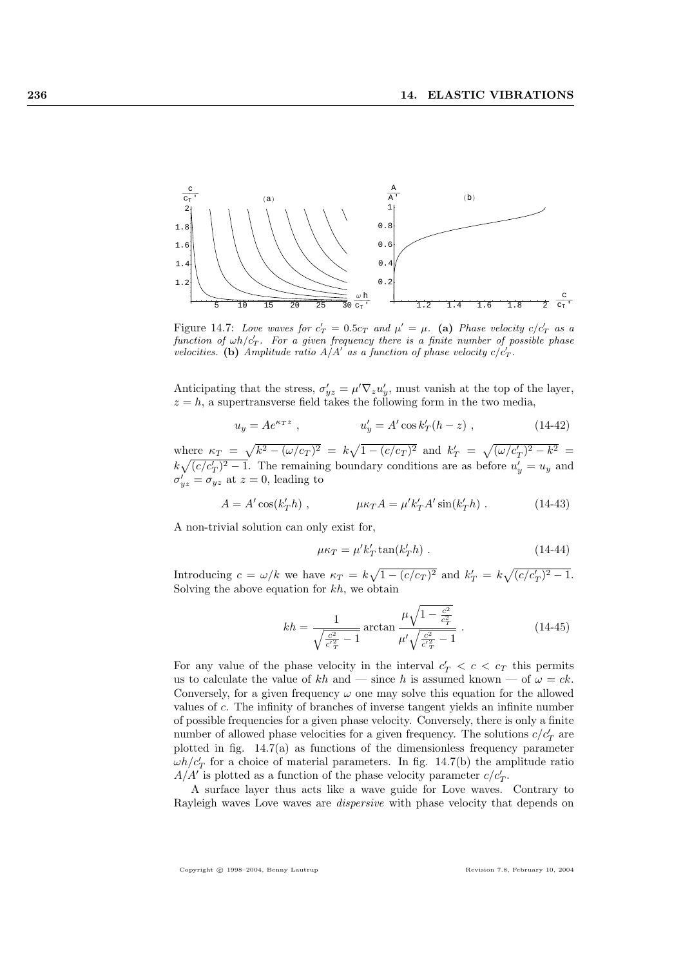

Figure 14.7: Love waves for  $c'_T = 0.5c_T$  and  $\mu' = \mu$ . (a) Phase velocity  $c/c'_T$  as a function of  $\omega h/c_T$ . For a given frequency there is a finite number of possible phase velocities. (b) Amplitude ratio  $A/A'$  as a function of phase velocity  $c/c_T$ .

Anticipating that the stress,  $\sigma'_{yz} = \mu' \nabla_z u'_y$ , must vanish at the top of the layer,  $z = h$ , a supertransverse field takes the following form in the two media,

$$
u_y = Ae^{\kappa_T z} , \qquad \qquad u'_y = A' \cos k'_T (h - z) , \qquad (14-42)
$$

where  $\kappa_T =$ p  $k^2 - (\omega/c_T)^2 = k$ p  $1 - (c/c_T)^2$  and  $k'_T =$ where  $\kappa_T = \sqrt{k^2 - (\omega/c_T)^2} = k\sqrt{1 - (c/c_T)^2}$  and  $k'_T = \sqrt{(\omega/c'_T)^2 - k^2} =$  $k\sqrt{(c/c_T')^2 - 1}$ . The remaining boundary conditions are as before  $u'_y = u_y$  and  $\sigma'_{yz} = \sigma_{yz}$  at  $z = 0$ , leading to

$$
A = A' \cos(k'_T h) , \qquad \mu \kappa_T A = \mu' k'_T A' \sin(k'_T h) . \qquad (14-43)
$$

A non-trivial solution can only exist for,

$$
\mu \kappa_T = \mu' k'_T \tan(k'_T h) \tag{14-44}
$$

Introducing  $c = \omega/k$  we have  $\kappa_T = k$ p  $\overline{1-(c/c_T)^2}$  and  $k'_T = k$  $\sqrt{(c/c_T')^2 - 1}.$ Solving the above equation for  $kh$ , we obtain

$$
kh = \frac{1}{\sqrt{\frac{c^2}{c_{\overline{T}}} - 1}} \arctan \frac{\mu \sqrt{1 - \frac{c^2}{c_{\overline{T}}} }}{\mu' \sqrt{\frac{c^2}{c_{\overline{T}}} - 1}} \,. \tag{14-45}
$$

For any value of the phase velocity in the interval  $c'_T < c < c_T$  this permits us to calculate the value of kh and — since h is assumed known — of  $\omega = ck$ . Conversely, for a given frequency  $\omega$  one may solve this equation for the allowed values of c. The infinity of branches of inverse tangent yields an infinite number of possible frequencies for a given phase velocity. Conversely, there is only a finite number of allowed phase velocities for a given frequency. The solutions  $c/c_T$  are plotted in fig. 14.7(a) as functions of the dimensionless frequency parameter  $\omega h/c_T'$  for a choice of material parameters. In fig. 14.7(b) the amplitude ratio  $A/A'$  is plotted as a function of the phase velocity parameter  $c/c_T'$ .

A surface layer thus acts like a wave guide for Love waves. Contrary to Rayleigh waves Love waves are dispersive with phase velocity that depends on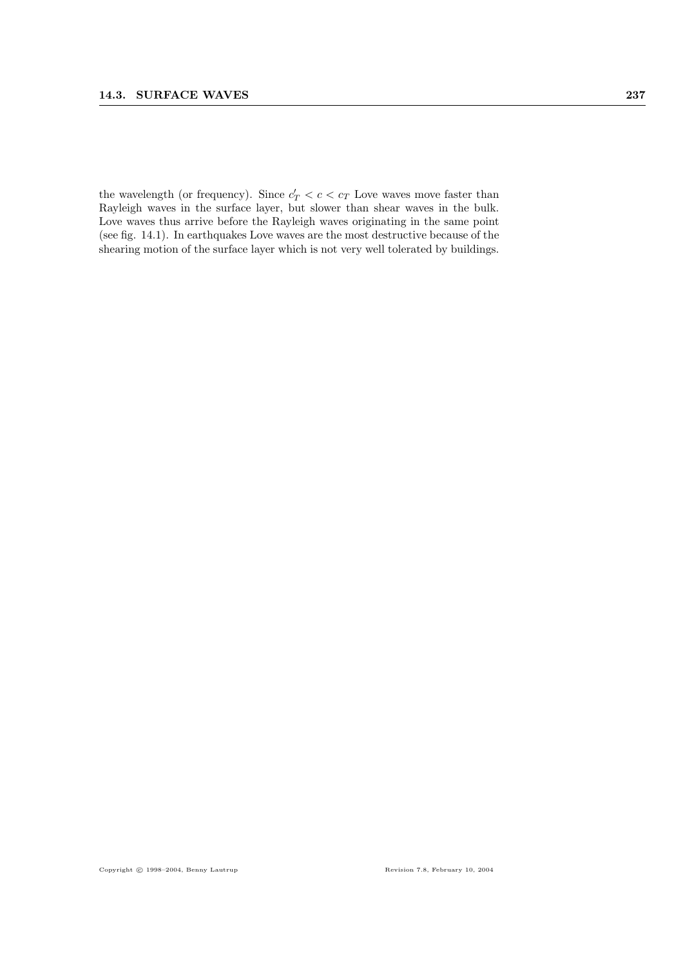the wavelength (or frequency). Since  $c'_T < c < c_T$  Love waves move faster than Rayleigh waves in the surface layer, but slower than shear waves in the bulk. Love waves thus arrive before the Rayleigh waves originating in the same point (see fig. 14.1). In earthquakes Love waves are the most destructive because of the shearing motion of the surface layer which is not very well tolerated by buildings.